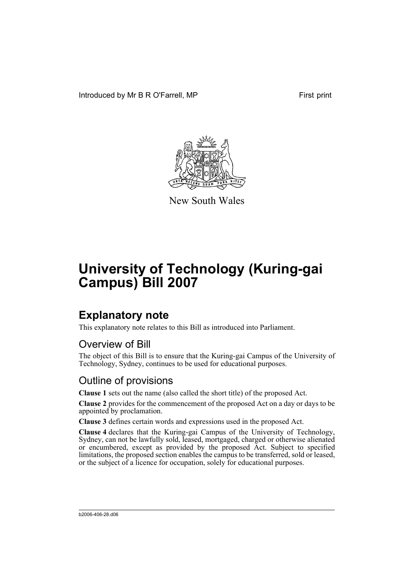Introduced by Mr B R O'Farrell, MP First print



New South Wales

# **University of Technology (Kuring-gai Campus) Bill 2007**

## **Explanatory note**

This explanatory note relates to this Bill as introduced into Parliament.

### Overview of Bill

The object of this Bill is to ensure that the Kuring-gai Campus of the University of Technology, Sydney, continues to be used for educational purposes.

#### Outline of provisions

**Clause 1** sets out the name (also called the short title) of the proposed Act.

**Clause 2** provides for the commencement of the proposed Act on a day or days to be appointed by proclamation.

**Clause 3** defines certain words and expressions used in the proposed Act.

**Clause 4** declares that the Kuring-gai Campus of the University of Technology, Sydney, can not be lawfully sold, leased, mortgaged, charged or otherwise alienated or encumbered, except as provided by the proposed Act. Subject to specified limitations, the proposed section enables the campus to be transferred, sold or leased, or the subject of a licence for occupation, solely for educational purposes.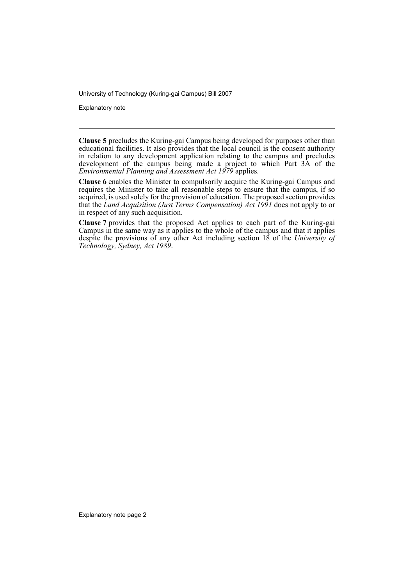University of Technology (Kuring-gai Campus) Bill 2007

Explanatory note

**Clause 5** precludes the Kuring-gai Campus being developed for purposes other than educational facilities. It also provides that the local council is the consent authority in relation to any development application relating to the campus and precludes development of the campus being made a project to which Part 3A of the *Environmental Planning and Assessment Act 1979* applies.

**Clause 6** enables the Minister to compulsorily acquire the Kuring-gai Campus and requires the Minister to take all reasonable steps to ensure that the campus, if so acquired, is used solely for the provision of education. The proposed section provides that the *Land Acquisition (Just Terms Compensation) Act 1991* does not apply to or in respect of any such acquisition.

**Clause 7** provides that the proposed Act applies to each part of the Kuring-gai Campus in the same way as it applies to the whole of the campus and that it applies despite the provisions of any other Act including section 18 of the *University of Technology, Sydney, Act 1989*.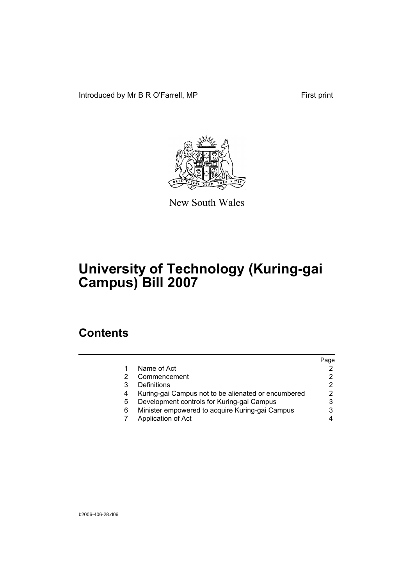Introduced by Mr B R O'Farrell, MP First print



New South Wales

# **University of Technology (Kuring-gai Campus) Bill 2007**

## **Contents**

|                                                     | Page |
|-----------------------------------------------------|------|
| Name of Act                                         |      |
| Commencement                                        |      |
| Definitions                                         | 2    |
| Kuring-gai Campus not to be alienated or encumbered |      |
| Development controls for Kuring-gai Campus          |      |
| Minister empowered to acquire Kuring-gai Campus     |      |
| Application of Act                                  |      |
|                                                     |      |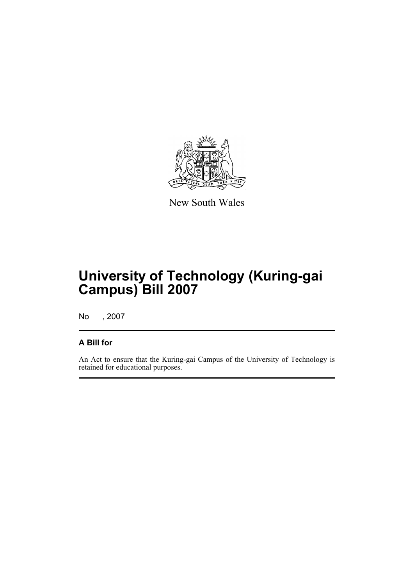

New South Wales

# **University of Technology (Kuring-gai Campus) Bill 2007**

No , 2007

#### **A Bill for**

An Act to ensure that the Kuring-gai Campus of the University of Technology is retained for educational purposes.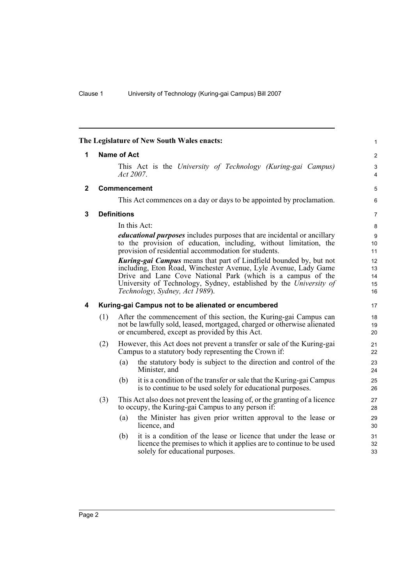<span id="page-5-3"></span><span id="page-5-2"></span><span id="page-5-1"></span><span id="page-5-0"></span>

|             |     | The Legislature of New South Wales enacts:                                                                                                                                                                                                                                                                          | 1                          |
|-------------|-----|---------------------------------------------------------------------------------------------------------------------------------------------------------------------------------------------------------------------------------------------------------------------------------------------------------------------|----------------------------|
| 1           |     | <b>Name of Act</b>                                                                                                                                                                                                                                                                                                  | 2                          |
|             |     | This Act is the University of Technology (Kuring-gai Campus)<br>Act $2007$ .                                                                                                                                                                                                                                        | 3<br>4                     |
| $\mathbf 2$ |     | Commencement                                                                                                                                                                                                                                                                                                        | 5                          |
|             |     | This Act commences on a day or days to be appointed by proclamation.                                                                                                                                                                                                                                                | 6                          |
| 3           |     | <b>Definitions</b>                                                                                                                                                                                                                                                                                                  | 7                          |
|             |     | In this Act:                                                                                                                                                                                                                                                                                                        | 8                          |
|             |     | educational purposes includes purposes that are incidental or ancillary<br>to the provision of education, including, without limitation, the<br>provision of residential accommodation for students.                                                                                                                | 9<br>10<br>11              |
|             |     | <b>Kuring-gai Campus</b> means that part of Lindfield bounded by, but not<br>including, Eton Road, Winchester Avenue, Lyle Avenue, Lady Game<br>Drive and Lane Cove National Park (which is a campus of the<br>University of Technology, Sydney, established by the University of<br>Technology, Sydney, Act 1989). | 12<br>13<br>14<br>15<br>16 |
| 4           |     | Kuring-gai Campus not to be alienated or encumbered                                                                                                                                                                                                                                                                 | 17                         |
|             | (1) | After the commencement of this section, the Kuring-gai Campus can<br>not be lawfully sold, leased, mortgaged, charged or otherwise alienated<br>or encumbered, except as provided by this Act.                                                                                                                      | 18<br>19<br>20             |
|             | (2) | However, this Act does not prevent a transfer or sale of the Kuring-gai<br>Campus to a statutory body representing the Crown if:                                                                                                                                                                                    | 21<br>22                   |
|             |     | the statutory body is subject to the direction and control of the<br>(a)<br>Minister, and                                                                                                                                                                                                                           | 23<br>24                   |
|             |     | it is a condition of the transfer or sale that the Kuring-gai Campus<br>(b)<br>is to continue to be used solely for educational purposes.                                                                                                                                                                           | 25<br>26                   |
|             | (3) | This Act also does not prevent the leasing of, or the granting of a licence<br>to occupy, the Kuring-gai Campus to any person if:                                                                                                                                                                                   | 27<br>28                   |
|             |     | the Minister has given prior written approval to the lease or<br>(a)<br>licence, and                                                                                                                                                                                                                                | 29<br>30                   |
|             |     | it is a condition of the lease or licence that under the lease or<br>(b)<br>licence the premises to which it applies are to continue to be used<br>solely for educational purposes.                                                                                                                                 | 31<br>32<br>33             |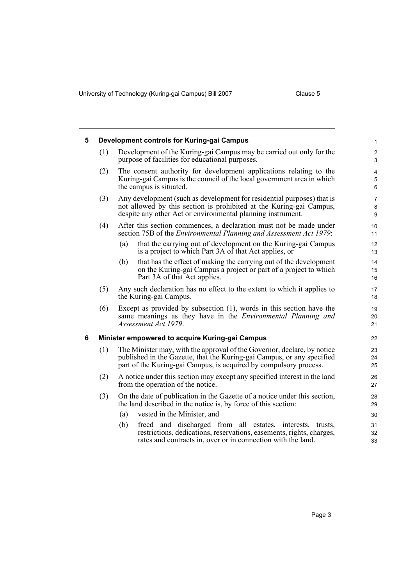University of Technology (Kuring-gai Campus) Bill 2007 Clause 5

<span id="page-6-1"></span><span id="page-6-0"></span>

| 5 |                                                 | Development controls for Kuring-gai Campus                                                                                                                                                                             | $\mathbf{1}$                      |  |
|---|-------------------------------------------------|------------------------------------------------------------------------------------------------------------------------------------------------------------------------------------------------------------------------|-----------------------------------|--|
|   | (1)                                             | Development of the Kuring-gai Campus may be carried out only for the<br>purpose of facilities for educational purposes.                                                                                                | $\overline{c}$<br>3               |  |
|   | (2)                                             | The consent authority for development applications relating to the<br>Kuring-gai Campus is the council of the local government area in which<br>the campus is situated.                                                | $\overline{\mathbf{4}}$<br>5<br>6 |  |
|   | (3)                                             | Any development (such as development for residential purposes) that is<br>not allowed by this section is prohibited at the Kuring-gai Campus,<br>despite any other Act or environmental planning instrument.           | 7<br>$\bf 8$<br>9                 |  |
|   | (4)                                             | After this section commences, a declaration must not be made under<br>section 75B of the <i>Environmental Planning and Assessment Act 1979</i> :                                                                       | 10<br>11                          |  |
|   |                                                 | that the carrying out of development on the Kuring-gai Campus<br>(a)<br>is a project to which Part 3A of that Act applies, or                                                                                          | 12<br>13                          |  |
|   |                                                 | that has the effect of making the carrying out of the development<br>(b)<br>on the Kuring-gai Campus a project or part of a project to which<br>Part 3A of that Act applies.                                           | 14<br>15<br>16                    |  |
|   | (5)                                             | Any such declaration has no effect to the extent to which it applies to<br>the Kuring-gai Campus.                                                                                                                      | 17<br>18                          |  |
|   | (6)                                             | Except as provided by subsection $(1)$ , words in this section have the<br>same meanings as they have in the <i>Environmental Planning and</i><br>Assessment Act 1979.                                                 | 19<br>20<br>21                    |  |
| 6 | Minister empowered to acquire Kuring-gai Campus |                                                                                                                                                                                                                        |                                   |  |
|   | (1)                                             | The Minister may, with the approval of the Governor, declare, by notice<br>published in the Gazette, that the Kuring-gai Campus, or any specified<br>part of the Kuring-gai Campus, is acquired by compulsory process. | 23<br>24<br>25                    |  |
|   | (2)                                             | A notice under this section may except any specified interest in the land<br>from the operation of the notice.                                                                                                         | 26<br>27                          |  |
|   | (3)                                             | On the date of publication in the Gazette of a notice under this section,<br>the land described in the notice is, by force of this section:                                                                            | 28<br>29                          |  |
|   |                                                 | vested in the Minister, and<br>(a)                                                                                                                                                                                     | 30                                |  |
|   |                                                 | freed and discharged from all estates, interests, trusts,<br>(b)<br>restrictions, dedications, reservations, easements, rights, charges,<br>rates and contracts in, over or in connection with the land.               | 31<br>32<br>33                    |  |